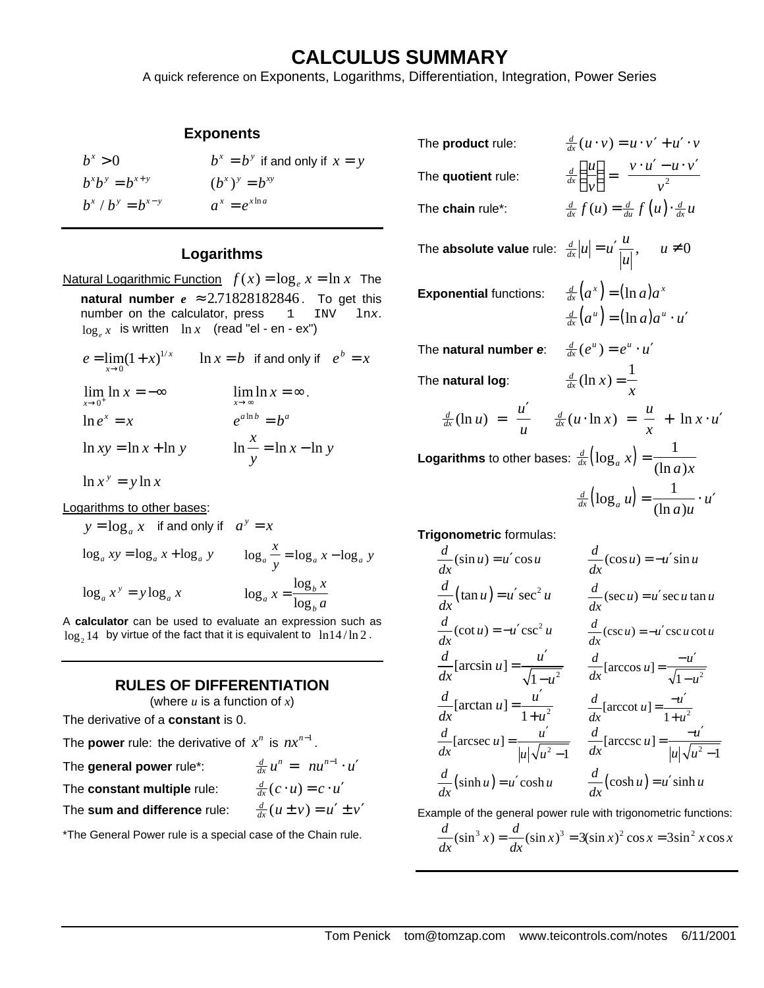# **CALCULUS SUMMARY**

A quick reference on Exponents, Logarithms, Differentiation, Integration, Power Series

#### **Exponents**

| $h^x > 0$           | $b^x = b^y$ if and only if $x = y$ |
|---------------------|------------------------------------|
| $h^x h^y = h^{x+y}$ | $(b^x)^y = b^{xy}$                 |
| $b^x/b^y = b^{x-y}$ | $a^x = e^{x \ln a}$                |

#### **Logarithms**

Natural Logarithmic Function  $f(x) = \log_e x = \ln x$  The **natural number**  $e \approx 2.71828182846$ . To get this number on the calculator, press  $1 \text{INV} \text{ln}x$ . number on the calculator, press 1 INV lnx.  $\log_e x$  is written  $\ln x$  (read "el - en - ex")

$$
e = \lim_{x \to 0} (1 + x)^{1/x} \qquad \ln x = b \quad \text{if and only if} \quad e^b = x
$$
  

$$
\lim_{x \to 0^+} \ln x = -\infty \qquad \qquad \lim_{x \to \infty} \ln x = \infty.
$$
  

$$
\ln e^x = x \qquad \qquad e^{a \ln b} = b^a
$$
  

$$
\ln xy = \ln x + \ln y \qquad \qquad \ln \frac{x}{y} = \ln x - \ln y
$$

 $\ln x^y = y \ln x$ 

Logarithms to other bases:

$$
y = \log_a x \text{ if and only if } a^y = x
$$
  

$$
\log_a xy = \log_a x + \log_a y \qquad \log_a \frac{x}{y} = \log_a x - \log_a y
$$
  

$$
\log_a x^y = y \log_a x \qquad \log_a x = \frac{\log_b x}{\log_b a}
$$

A **calculator** can be used to evaluate an expression such as  $\log_2 14$  by virtue of the fact that it is equivalent to  $\,\ln\!14/\ln 2$  .

## **RULES OF DIFFERENTIATION**

(where *u* is a function of *x*)

 $-1$ 

The derivative of a **constant** is 0.

| The <b>power</b> rule: the derivative of $x^n$ is $nx^{n-1}$ . |                                       |
|----------------------------------------------------------------|---------------------------------------|
| The general power rule*:                                       | $\frac{d}{dx}u^n = nu^{n-1} \cdot u'$ |
| The constant multiple rule:                                    | $\frac{d}{dx}(c\cdot u)=c\cdot u'$    |
| The sum and difference rule:                                   | $\frac{d}{dx}(u \pm v) = u' \pm v'$   |

\*The General Power rule is a special case of the Chain rule.

| The product rule:                                                                | $\frac{d}{dx}(u \cdot v) = u \cdot v' + u' \cdot v$                                               |
|----------------------------------------------------------------------------------|---------------------------------------------------------------------------------------------------|
| The quotient rule:                                                               | $\frac{d}{dx}\left(\frac{u}{v}\right) = \frac{v \cdot u' - u \cdot v'}{v^2}$                      |
| The chain rule*:                                                                 | $\frac{d}{dx} f(u) = \frac{d}{du} f(u) \cdot \frac{d}{dx} u$                                      |
| The <b>absolute value</b> rule: $\frac{d}{dx} u  = u'\frac{u}{ u }$ , $u \neq 0$ |                                                                                                   |
| <b>Exponential functions:</b>                                                    | $\frac{d}{dx}(a^x) = (\ln a)a^x$<br>$\frac{d}{dx}(a^u) = (\ln a)a^u \cdot u'$                     |
| The natural number e:                                                            | $\frac{d}{dx}(e^u) = e^u \cdot u'$                                                                |
| The natural log:                                                                 | $\frac{d}{dx}(\ln x) = \frac{1}{x}$                                                               |
|                                                                                  | $\frac{d}{dx}(\ln u) = \frac{u'}{u}$ $\frac{d}{dx}(u \cdot \ln x) = \frac{u}{x} + \ln x \cdot u'$ |
| <b>Logarithms</b> to other bases: $\frac{d}{dx}(\log_a x) = \frac{1}{(\ln a)x}$  |                                                                                                   |
|                                                                                  | $\frac{d}{dx}(\log_a u) = \frac{1}{(\ln a)u} \cdot u'$                                            |

**Trigonometric** formulas:

$$
\frac{d}{dx}(\sin u) = u' \cos u \qquad \frac{d}{dx}(\cos u) = -u' \sin u
$$
\n
$$
\frac{d}{dx}(\tan u) = u' \sec^2 u \qquad \frac{d}{dx}(\sec u) = u' \sec u \tan u
$$
\n
$$
\frac{d}{dx}(\cot u) = -u' \csc^2 u \qquad \frac{d}{dx}(\csc u) = -u' \csc u \cot u
$$
\n
$$
\frac{d}{dx}[\arcsin u] = \frac{u'}{\sqrt{1 - u^2}} \qquad \frac{d}{dx}[\arccos u] = \frac{-u'}{\sqrt{1 - u^2}}
$$
\n
$$
\frac{d}{dx}[\arctan u] = \frac{u'}{1 + u^2} \qquad \frac{d}{dx}[\arccot u] = \frac{-u'}{1 + u^2}
$$
\n
$$
\frac{d}{dx}[\arccos u] = \frac{u'}{|u|\sqrt{u^2 - 1}} \qquad \frac{d}{dx}[\arccsc u] = \frac{-u'}{|u|\sqrt{u^2 - 1}}
$$
\n
$$
\frac{d}{dx}(\sinh u) = u' \cosh u \qquad \frac{d}{dx}(\cosh u) = u' \sinh u
$$

Example of the general power rule with trigonometric functions:

$$
\frac{d}{dx}(\sin^3 x) = \frac{d}{dx}(\sin x)^3 = 3(\sin x)^2 \cos x = 3\sin^2 x \cos x
$$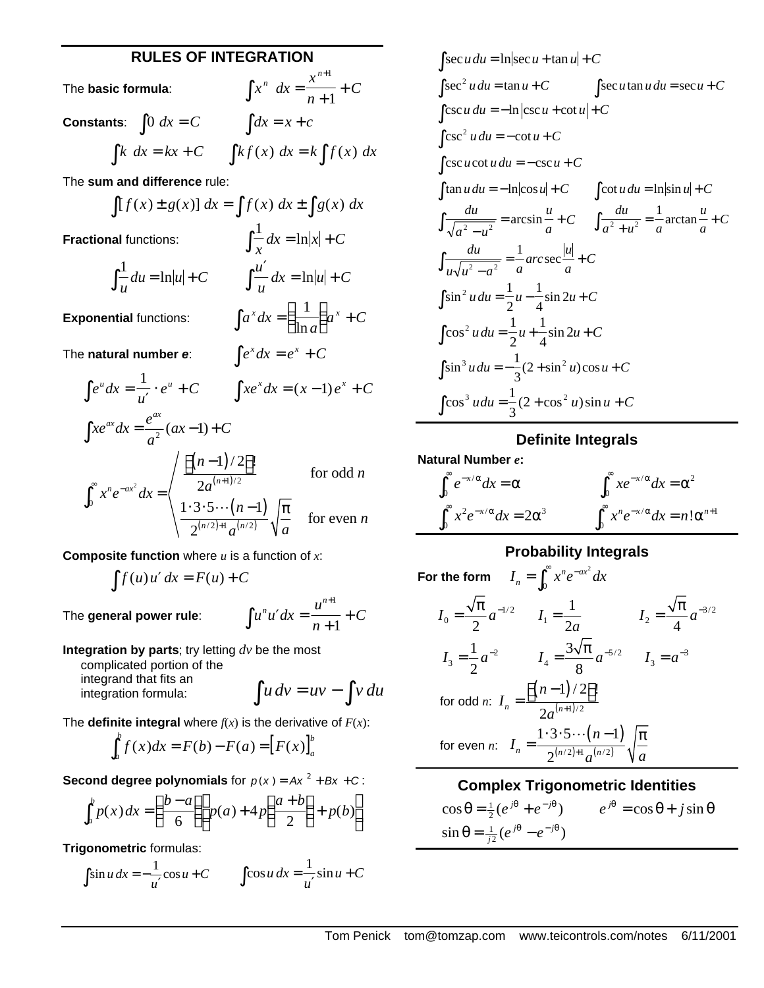## **RULES OF INTEGRATION**

*x*

 $dx = \frac{x}{1} + C$ *n*

*a*  $\int x^x dx = \left(\frac{1}{1} \right) a^x + C$  $\left(\frac{1}{\ln a}\right)$ 

ln

 $\int e^x dx = e^x +$ 

+ +

=

 $\int x^n dx = \frac{x^{n+1}}{n+1}$ 

The **basic formula**:

*n* + 1 **Constants**:  $\int 0 \, dx = C$   $\int dx = x + c$  $\int k \, dx = kx + C$   $\int kf(x) \, dx = k \int f(x) \, dx$ 

The **sum and difference** rule:

 $\int [f(x) \pm g(x)] dx = \int f(x) dx \pm \int g(x) dx$ 

1

**Fractional** functions:

all functions:

\n
$$
\int \frac{1}{x} dx = \ln|x| + C
$$
\n
$$
\int \frac{1}{u} du = \ln|u| + C
$$
\nInitial functions:

\n
$$
\int a^x dx = \left(\frac{1}{\ln a}\right) a^x + C
$$

**Exponential** functions:

The natural number  $e$ :

$$
\int e^{u} dx = \frac{1}{u'} \cdot e^{u} + C \qquad \int xe^{x} dx = (x - 1)e^{x} + C
$$
  

$$
\int xe^{ax} dx = \frac{e^{ax}}{a^{2}} (ax - 1) + C
$$
  

$$
\int_{0}^{\infty} x^{n} e^{-ax^{2}} dx = \begin{cases} \frac{\left[ (n - 1)/2 \right]!}{2a^{(n+1)/2}} & \text{for odd } n \\ \frac{1 \cdot 3 \cdot 5 \cdots (n-1)}{2^{(n/2)+1} a^{(n/2)}} \sqrt{\frac{\pi}{a}} & \text{for even } n \end{cases}
$$

**Composite function** where *u* is a function of *x*:

$$
\int f(u)u' dx = F(u) + C
$$

$$
\int u^n u' dx = \frac{u^{n+1}}{n+1} + C
$$

**Integration by parts**; try letting *dv* be the most complicated portion of the

integrand that fits an integration formula:  $\int u dv = uv - \int v du$ 

The **definite integral** where  $f(x)$  is the derivative of  $F(x)$ :

$$
\int_a^b f(x)dx = F(b) - F(a) = [F(x)]_a^b
$$

**Second degree polynomials** for  $p(x) = Ax^2 + Bx + C$ :

$$
\int_{a}^{b} p(x) dx = \left(\frac{b-a}{6}\right) p(a) + 4p\left(\frac{a+b}{2}\right) + p(b)
$$

**Trigonometric** formulas:

The general power rule:

$$
\int \sin u \, dx = -\frac{1}{u'} \cos u + C \qquad \int \cos u \, dx = -\frac{1}{u'} \sin u + C
$$

$$
\int \sec u du = \ln |\sec u + \tan u| + C
$$
\n
$$
\int \sec^2 u du = \tan u + C \qquad \int \sec u \tan u du = \sec u + C
$$
\n
$$
\int \csc u du = -\ln |\csc u + \cot u| + C
$$
\n
$$
\int \csc^2 u du = -\cot u + C
$$
\n
$$
\int \csc u \cot u du = -\csc u + C
$$
\n
$$
\int \tan u du = -\ln |\cos u| + C \qquad \int \cot u du = \ln |\sin u| + C
$$
\n
$$
\int \frac{du}{\sqrt{a^2 - u^2}} = \arcsin \frac{u}{a} + C \qquad \int \frac{du}{a^2 + u^2} = \frac{1}{a} \arctan \frac{u}{a} + C
$$
\n
$$
\int \frac{du}{u\sqrt{u^2 - a^2}} = \frac{1}{a} \arccsc \frac{|u|}{a} + C
$$
\n
$$
\int \sin^2 u du = \frac{1}{2} u - \frac{1}{4} \sin 2u + C
$$
\n
$$
\int \cos^2 u du = \frac{1}{2} u + \frac{1}{4} \sin 2u + C
$$
\n
$$
\int \sin^3 u du = -\frac{1}{3} (2 + \sin^2 u) \cos u + C
$$
\n
$$
\int \cos^3 u du = \frac{1}{3} (2 + \cos^2 u) \sin u + C
$$

### **Definite Integrals**

**Natural Number** *e***:**

$$
\int_0^\infty e^{-x/\alpha} dx = \alpha
$$
\n
$$
\int_0^\infty x e^{-x/\alpha} dx = 2\alpha^3
$$
\n
$$
\int_0^\infty x^n e^{-x/\alpha} dx = n! \alpha^{n+1}
$$

## **Probability Integrals**

For the form 
$$
I_n = \int_0^{\infty} x^n e^{-ax^2} dx
$$
  
\n $I_0 = \frac{\sqrt{\pi}}{2} a^{-1/2}$   $I_1 = \frac{1}{2a}$   $I_2 = \frac{\sqrt{\pi}}{4} a^{-3/2}$   
\n $I_3 = \frac{1}{2} a^{-2}$   $I_4 = \frac{3\sqrt{\pi}}{8} a^{-5/2}$   $I_3 = a^{-3}$   
\nfor odd *n*:  $I_n = \frac{[(n-1)/2]!}{2a^{(n+1)/2}}$   
\nfor even *n*:  $I_n = \frac{1 \cdot 3 \cdot 5 \cdots (n-1)}{2^{(n/2)+1} a^{(n/2)}} \sqrt{\frac{\pi}{a}}$ 

### **Complex Trigonometric Identities**

 $\cos \theta = \frac{1}{2} (e^{j\theta} + e^{-j\theta})$  $e^{j\theta} + e^{-j\theta}$   $e^{j\theta} = \cos \theta + j \sin \theta$  $\sin \theta = \frac{1}{j^2} (e^{j\theta} - e^{-j\theta})$  $\frac{1}{i^2}$  $(e^{j\theta} - e)$